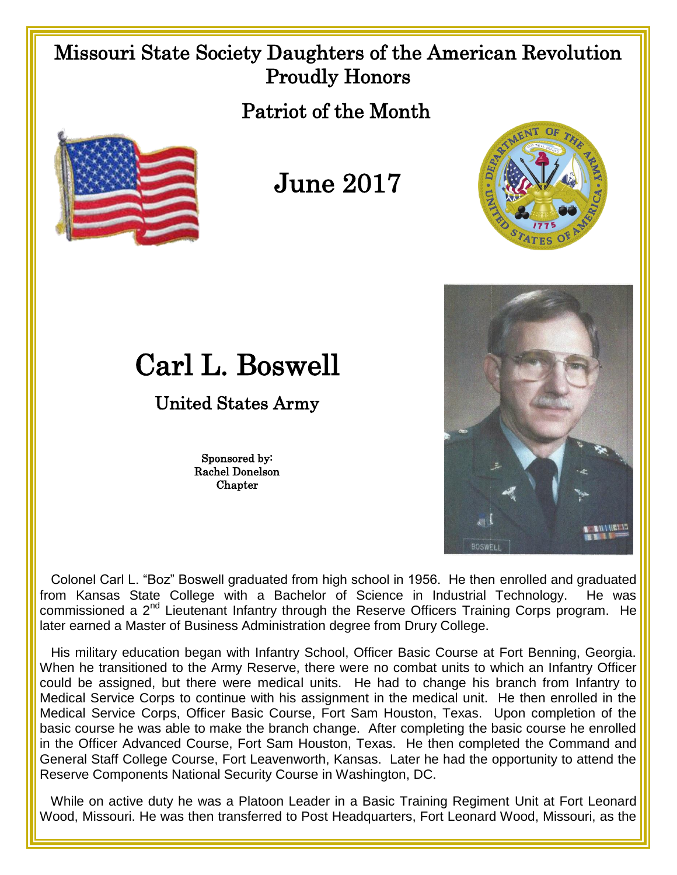## Missouri State Society Daughters of the American Revolution Proudly Honors

Patriot of the Month



## June 2017





## Carl L. Boswell

## United States Army

Sponsored by: Rachel Donelson **Chapter** 

 Colonel Carl L. "Boz" Boswell graduated from high school in 1956. He then enrolled and graduated from Kansas State College with a Bachelor of Science in Industrial Technology. He was commissioned a 2<sup>nd</sup> Lieutenant Infantry through the Reserve Officers Training Corps program. He later earned a Master of Business Administration degree from Drury College.

 His military education began with Infantry School, Officer Basic Course at Fort Benning, Georgia. When he transitioned to the Army Reserve, there were no combat units to which an Infantry Officer could be assigned, but there were medical units. He had to change his branch from Infantry to Medical Service Corps to continue with his assignment in the medical unit. He then enrolled in the Medical Service Corps, Officer Basic Course, Fort Sam Houston, Texas. Upon completion of the basic course he was able to make the branch change. After completing the basic course he enrolled in the Officer Advanced Course, Fort Sam Houston, Texas. He then completed the Command and General Staff College Course, Fort Leavenworth, Kansas. Later he had the opportunity to attend the Reserve Components National Security Course in Washington, DC.

 While on active duty he was a Platoon Leader in a Basic Training Regiment Unit at Fort Leonard Wood, Missouri. He was then transferred to Post Headquarters, Fort Leonard Wood, Missouri, as the